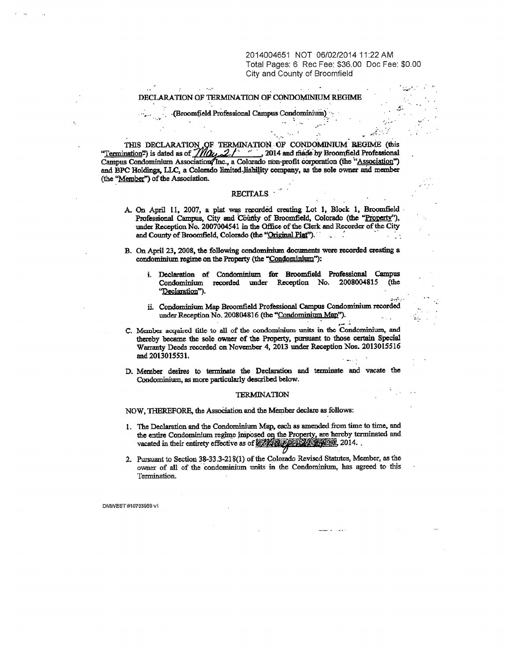2014004651 NOT 06/02/2014 11:22 AM Total Pages: 6 Rec Fee: \$36.00 Doc Fee: \$0.00 City and County of Broomfield

 $\pm$ 

## DECLARATION OF TERMINATION OF CONDOMINIUM REGIME

**.(Broomfield Professional Campus Condominium)'.-**

**Service** 

THIS DECLARATION F TERMNATION\_ OF CONDOMINIUM R**EGIME (this "Termination**=**) is dated as of "i, 2014 and by Broomfield Professional** Campus Condominium Association/Inc., a Colorado non-profit corporation (the "Association") **and BPC** <sup>M</sup>**oldings,** LLC, a **Colorado limited**-**jiability company, as the sole owner and member** (the "Member") of the Association.

# **RECITALS**

- A. On April 11, **2007, a plat was rerorded creating** Lot 1, **Block 1, Broomfield** Professional Campus, City and County of Broomfield, Colorado (the "Property"), **under Reception.No. 2007004541 in the Office of the Clerk and Recorder** of the City **and County of Broomfield, Colorado (the "Ori**g**inal Plat'**^• **' -** \_ .
- B. On April 23, **2008,** the following **condominiums documents were recorded creating a condominium regime on the** Property **(the "Condominium"):**
	- **i. Declaration of Condominium for Broomfield Professional Campus Condominium recorded** under Reception No. <sup>2008004815</sup> (the **"Declaration").**
	- **ii. Condominium Map Broomfield Professional Campus Condominium recorded under Reception No. 200804816 (the "Condominium Man").**
- C. Member acquired title to all of the condominium units in the Condominium, and thereby became the sole owner of the Property, **pursuant to those certain Special** Warranty Deeds recorded on November 4, 2013 under Reception Nos. 2013015516 and 2013015531.
- **D. Member desires to terminate the Declaration and terminate and vacate the Condominium, as more particularly described below.**

## **TERMINATION**

**NOW, ThEREFORE, the Association and the Member declare as follows:**

- **1. The Declaration and the Condominiu**<sup>m</sup> **Map, each as amended from time to time, and** the entire Condominium regime imposed on the Property, are hereby terminated and **vacated in their entirety effective as of 2014. .**
- **2. Pursuant to Section 38-33.3-216(1) of the Colorado Revised Statutes,** Member, **as the owner of all of the condominium units in the Condominiu**<sup>m</sup> **has agreed to this** Termination.

DMWEST #10733989 vi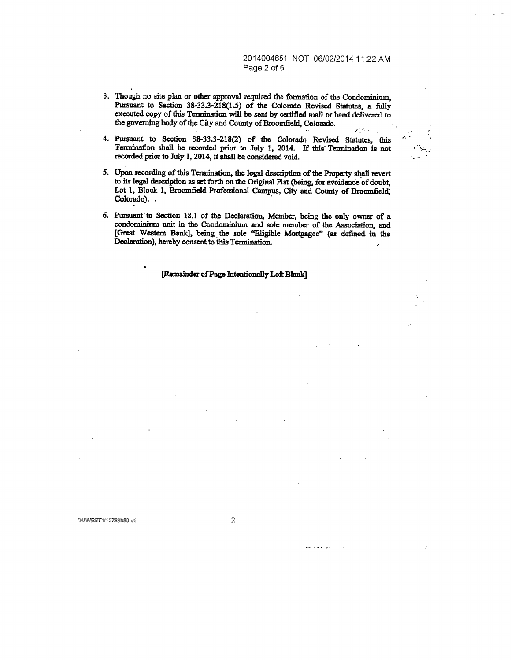2014004651 NOT 06/02/2014 11:22 AM Page 2 of 6

 $\mathbf{r}$ 

- **3. Though no site plan or other approval required the formation of the Condominium,** Pursuant to Section 38-33.3-218(1.5) of the Colorado Revised Statutes, a fully **executed copy of this Termination will be sent by certified mail or hand delivered to the governing body of the City and County of Broomfield, Colorado.**
- **4. Pursuant to Section 38-33.3-218(2) of the Colorado Revised Statutes, this Termin**ati**on shall be recorded prior to July 1, 2014. If this"Teanination is not recorded prior to July 1, 2014, it shall be considered void**
- **5. Upon recording of this Termination, the legal description of the Property shall revert to its legal description as set forth on the Original Plat (being for avoidance of doubt, Lot 1, Block 1, Broomfield Professional Campus, City and County of Broomfield; Colorado).**
- **6. Pursuant to Section 18.1 of the Declaration, Member, being the only owner of a condominium unit in the Condominium and sole member of the Association, and** [Great Western Bank], being the sole "Eligible Mortgagee" (as defined in the **Declaration), hereby consent to this Termination.**

**[Remainder of Page Intentionally Left Blank]**

2

**Contact of Contact**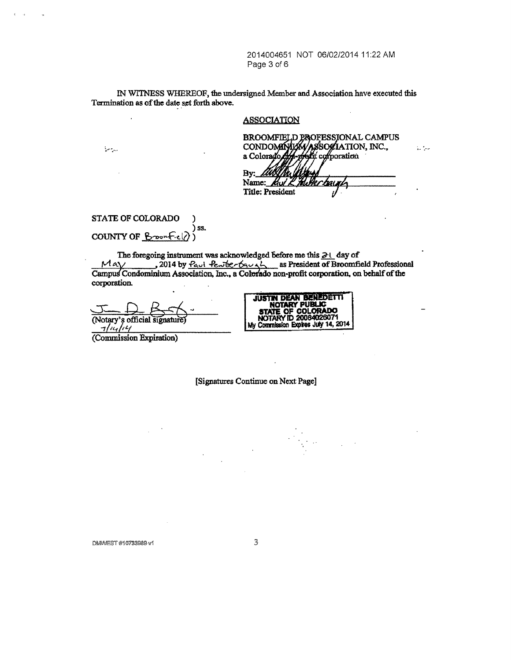2014004651 NOT 06/02/2014 11:22 AM Page 3 of 6

IN WTiNESS WHEREOF, the undersigned Member and Association have executed this Termination as of the date set forth above.

## **ASSOCIATION**

المتواطئ

and the state of the state of the state of the state of the state of the state of the state of the state of th

| BROOMFIELD PROFESSIONAL CAMPUS<br>CONDOMINIAN ASSOCIATION, INC.,<br>a Colorado Apporti corporation |  |
|----------------------------------------------------------------------------------------------------|--|
|                                                                                                    |  |
|                                                                                                    |  |

المتوازعة

By: Name: Title: President

### STATE OF COLORADO ) COUNTY OF Broom **ss )**

The foregoing instrument was acknowledged before me this  $\partial \cup$  day of  $M$ a $\gamma$  \_\_\_\_\_\_, 2014 by <u>Paul Pewter truck</u> as President of Broomfield Professional Campus Condominium Association, Inc., a Colerado non-profit corporation, on behalf of the corporation.

(Notary's official signature)



(Commission Expiration)

[Signatures Continue on Next Page]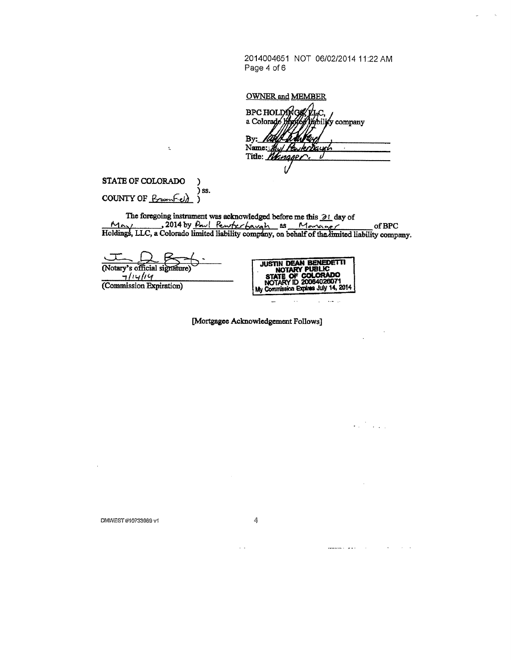2014004651 NOT 06/02/2014 11:22 AM Page 4 of 6

OWNER and MEMBER

BPC HOLDONG a Colorado M liability company  $By:$ <u>I</u>tth Name: Buy PowerDay Title: Mingger

STATE OF COLORADO  $\lambda$ ) ss. COUNTY OF  $\mathcal{B}_{\text{room}}$  $\mathcal{Y}$ 

Å,

The foregoing instrument was acknowledged before me this  $\frac{\partial l}{\partial x}$  day of  $\frac{M_{\text{max}}}{2014}$  by  $\frac{\rho_{\text{max}}}{2014}$   $\frac{\rho_{\text{max}}}{2014}$  as  $\frac{M_{\text{max}}}{2014}$  of BPC<br>Holdings, LLC, a Colorado limited liability company, on

 $\sqrt{2}$ (Notary's official signature)  $7/14/14$ 

(Commission Expiration)



وراجعا

 $\mathcal{L}_{\text{max}}$ 

 $\sim$   $\sim$  $\sim 10$ 

 $\bar{\mathcal{L}}$ 

[Mortgagee Acknowledgement Follows]

4

DMM/EST #10733989 v1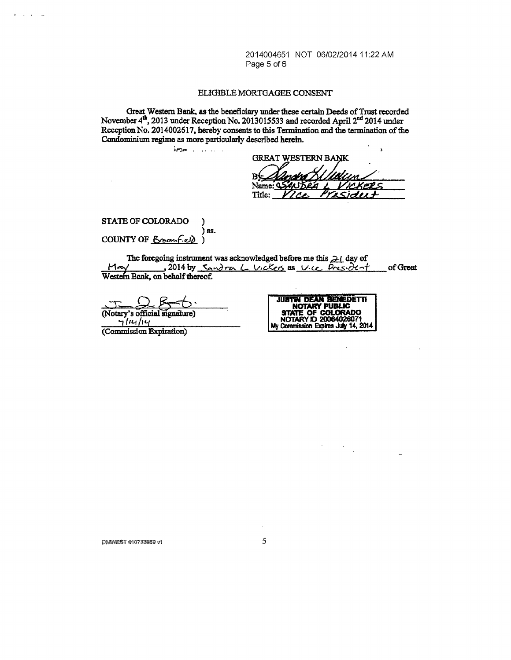2014004651 NOT 06/02/2014 11:22 AM Page 5 of 6

## ELIGIBLE MORTGAGEE CONSENT

Great Western Bank, as the beneficiary under these certain Deeds of Trust recorded November  $4^{\text{th}}$ , 2013 under Reception No. 2013015533 and recorded April 2<sup>nd</sup> 2014 under Reception No. 2014002617, hereby consents to this Termination and the termination of the Condominium regime as more particularly described herein.

j, **GREAT WESTERN BANK** В١ Name: 9 Title:

STATE OF COLORADO ) 88. COUNTY OF Branfield)

 $km<sub>2</sub>$  . ....

 $\mathcal{A}=\mathcal{A}=\mathcal{A}$  as

The foregoing instrument was acknowledged before me this  $\geq 1$  day of , 2014 by Sandra L Vickers as Vice President  $M$ a $V$ of Great Western Bank, on behalf thereof.

(Notary's official signature)  $71414$ 

(Commission Expiration)



 $\mathcal{A}^{\mathcal{A}}$  .  $\sim$   $\sim$